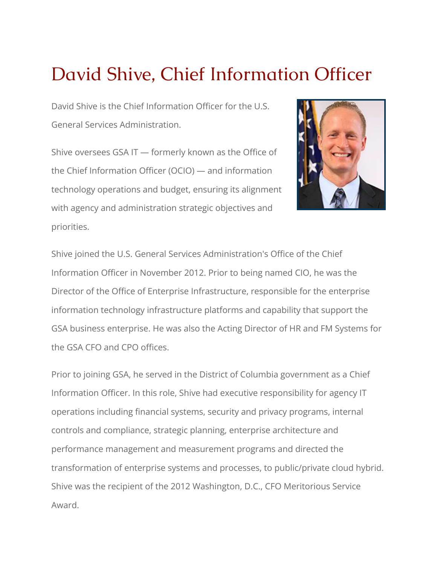## David Shive, Chief Information Officer

David Shive is the Chief Information Officer for the U.S. General Services Administration.

Shive oversees GSA IT — formerly known as the [Office](https://www.gsa.gov/about-us/organization/gsa-it) of [the Chief Information Officer \(OCIO\)](https://www.gsa.gov/about-us/organization/gsa-it) — and information technology operations and budget, ensuring its alignment with agency and administration strategic objectives and priorities.



Shive joined the U.S. General Services Administration's Office of the Chief Information Officer in November 2012. Prior to being named CIO, he was the Director of the Office of Enterprise Infrastructure, responsible for the enterprise information technology infrastructure platforms and capability that support the GSA business enterprise. He was also the Acting Director of HR and FM Systems for the GSA CFO and CPO offices.

Prior to joining GSA, he served in the District of Columbia government as a Chief Information Officer. In this role, Shive had executive responsibility for agency IT operations including financial systems, security and privacy programs, internal controls and compliance, strategic planning, enterprise architecture and performance management and measurement programs and directed the transformation of enterprise systems and processes, to public/private cloud hybrid. Shive was the recipient of the 2012 Washington, D.C., CFO Meritorious Service Award.